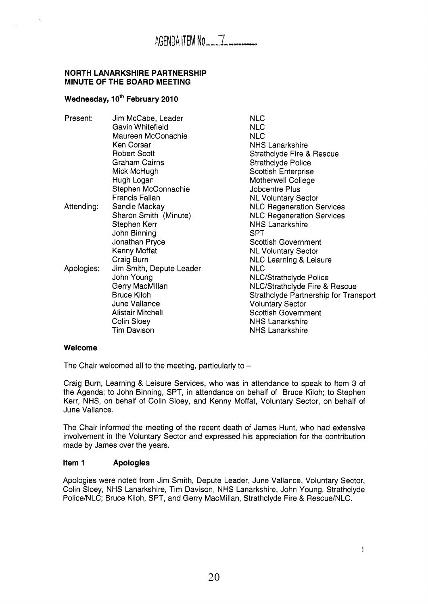#### **NORTH LANARKSHIRE PARTNERSHIP MINUTE OF THE BOARD MEETING**

# **Wednesday, 10th February 2010**

| Present:   | Jim McCabe, Leader       | <b>NLC</b>                            |
|------------|--------------------------|---------------------------------------|
|            | Gavin Whitefield         | <b>NLC</b>                            |
|            | Maureen McConachie       | <b>NLC</b>                            |
|            | Ken Corsar               | <b>NHS Lanarkshire</b>                |
|            | <b>Robert Scott</b>      | Strathclyde Fire & Rescue             |
|            | Graham Cairns            | <b>Strathclyde Police</b>             |
|            | Mick McHugh              | <b>Scottish Enterprise</b>            |
|            | Hugh Logan               | Motherwell College                    |
|            | Stephen McConnachie      | Jobcentre Plus                        |
|            | Francis Fallan           | <b>NL Voluntary Sector</b>            |
| Attending: | Sandie Mackay            | <b>NLC Regeneration Services</b>      |
|            | Sharon Smith (Minute)    | <b>NLC Regeneration Services</b>      |
|            | Stephen Kerr             | <b>NHS Lanarkshire</b>                |
|            | John Binning             | <b>SPT</b>                            |
|            | Jonathan Pryce           | <b>Scottish Government</b>            |
|            | Kenny Moffat             | <b>NL Voluntary Sector</b>            |
|            | Craig Burn               | NLC Learning & Leisure                |
| Apologies: | Jim Smith, Depute Leader | <b>NLC</b>                            |
|            | John Young               | <b>NLC/Strathclyde Police</b>         |
|            | Gerry MacMillan          | NLC/Strathclyde Fire & Rescue         |
|            | <b>Bruce Kiloh</b>       | Strathclyde Partnership for Transport |
|            | June Vallance            | <b>Voluntary Sector</b>               |
|            | <b>Alistair Mitchell</b> | <b>Scottish Government</b>            |
|            |                          |                                       |
|            | Colin Sloey              | <b>NHS Lanarkshire</b>                |
|            | <b>Tim Davison</b>       | <b>NHS Lanarkshire</b>                |

#### **Welcome**

The Chair welcomed all to the meeting, particularly to  $-$ 

Craig Burn, Learning & Leisure Services, who was in attendance to speak to Item 3 of the Agenda; to John Binning, SPT, in attendance on behalf of Bruce Kiloh; to Stephen Kerr, NHS, on behalf of Colin Sloey, and Kenny Moffat, Voluntary Sector, on behalf of June Vallance.

The Chair informed the meeting of the recent death of James Hunt, who had extensive involvement in the Voluntary Sector and expressed his appreciation for the contribution made by James over the years.

### **Item 1 Apologies**

Apologies were noted from Jim Smith, Depute Leader, June Vallance, Voluntary Sector, Colin Sloey, NHS Lanarkshire, Tim Davison, NHS Lanarkshire, John Young, Strathclyde Police/NLC; Bruce Kiloh, SPT, and Gerry MacMillan, Strathclyde Fire & Rescue/NLC.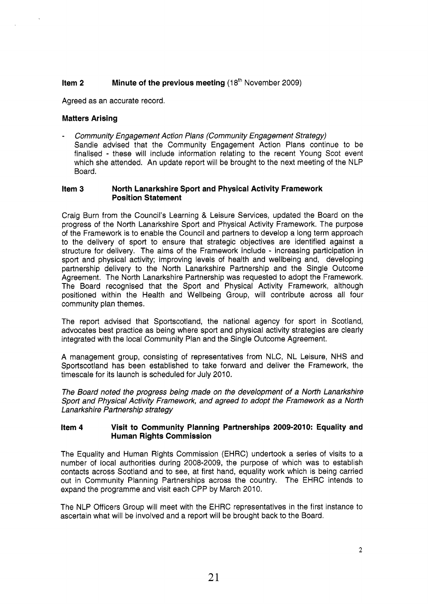# **Item 2** Minute of the previous meeting (18<sup>th</sup> November 2009)

Agreed as an accurate record.

### **Matters Arising**

- *Community Engagement Action Plans (Community Engagement Strategy)*  Sandie advised that the Community Engagement Action Plans continue to be finalised - these will include information relating to the recent Young Scot event which she attended. An update report will be brought to the next meeting of the NLP Board.

#### **Item 3 North Lanarkshire Sport and Physical Activity Framework Position Statement**

Craig Burn from the Council's Learning & Leisure Services, updated the Board on the progress of the North Lanarkshire Sport and Physical Activity Framework. The purpose of the Framework is to enable the Council and partners to develop a long term approach to the delivery of sport to ensure that strategic objectives are identified against a structure for delivery. The aims of the Framework include - increasing participation in sport and physical activity; improving levels of health and wellbeing and, developing partnership delivery to the North Lanarkshire Partnership and the Single Outcome Agreement. The North Lanarkshire Partnership was requested to adopt the Framework. The Board recognised that the Sport and Physical Activity Framework, although positioned within the Health and Wellbeing Group, will contribute across all four community plan themes.

The report advised that Sportscotland, the national agency for sport in Scotland, advocates best practice as being where sport and physical activity strategies are clearly integrated with the local Community Plan and the Single Outcome Agreement.

A management group, consisting of representatives from NLC, NL Leisure, NHS and Sportscotland has been established to take forward and deliver the Framework, the timescale for its launch is scheduled for July 2010.

*The Board noted the progress being made on the development of a North Lanarkshire Sport and Physical Activity Framework, and agreed to adopt the Framework as a North Lanarkshire Partnership strategy* 

#### **Item 4** Visit to Community Planning Partnerships 2009-2010: Equality and **Human Rights Commission**

The Equality and Human Rights Commission (EHRC) undertook a series of visits to a number of local authorities during 2008-2009, the purpose of which was to establish contacts across Scotland and to see, at first hand, equality work which is being carried out in Community Planning Partnerships across the country. The EHRC intends to expand the programme and visit each CPP by March 2010.

The NLP Officers Group will meet with the EHRC representatives in the first instance to ascertain what will be involved and a report will be brought back to the Board.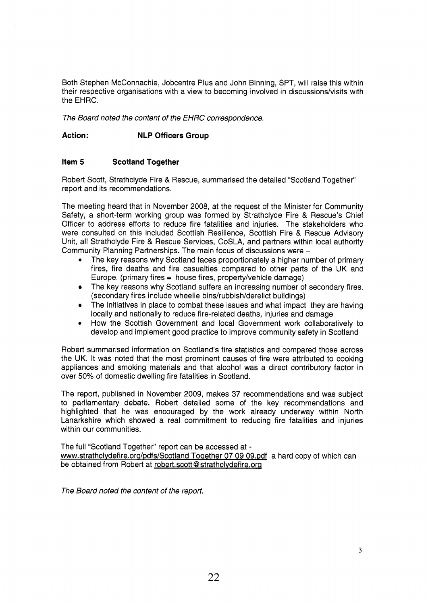Both Stephen McConnachie, Jobcentre Plus and John Binning, SPT, will raise this within their respective organisations with a view to becoming involved in discussions/visits with the EHRC.

*The Board noted the content of the EHRC correspondence.* 

# **Action: NLP Officers Group**

# **Item 5 Scotland Together**

Robert Scott, Strathclyde Fire & Rescue, summarised the detailed "Scotland Together" report and its recommendations.

The meeting heard that in November 2008, at the request of the Minister for Community Safety, a short-term working group was formed by Strathclyde Fire & Rescue's Chief Officer to address efforts to reduce fire fatalities and injuries. The stakeholders who were consulted on this included Scottish Resilience, Scottish Fire & Rescue Advisory Unit, all Strathclyde Fire & Rescue Services, CoSLA, and partners within local authority Community Planning Partnerships. The main focus of discussions were -

- The key reasons why Scotland faces proportionately a higher number of primary fires, fire deaths and fire casualties compared to other parts of the UK and Europe. (primary fires = house fires, property/vehicle damage) *0*
- The key reasons why Scotland suffers an increasing number of secondary fires. (secondary fires include wheelie bins/rubbish/derelict buildings)
- The initiatives in place to combat these issues and what impact they are having  $\bullet$ locally and nationally to reduce fire-related deaths, injuries and damage
- How the Scottish Government and local Government work collaboratively to develop and implement good practice to improve community safety in Scotland

Robert summarised information on Scotland's fire statistics and compared those across the UK. It was noted that the most prominent causes of fire were attributed to cooking appliances and smoking materials and that alcohol was a direct contributory factor in over 50% of domestic dwelling fire fatalities in Scotland.

The report, published in November 2009, makes 37 recommendations and was subject to parliamentary debate. Robert detailed some of the key recommendations and highlighted that he was encouraged by the work already underway within North Lanarkshire which showed a real commitment to reducing fire fatalities and injuries within our communities.

The full "Scotland Together" report can be accessed at www.strathclydefire.org/pdfs/Scotland Together 07 09 09.pdf a hard copy of which can be obtained from Robert at robert.scott@strathclydefire.org

*The Board noted the content of the repot?.*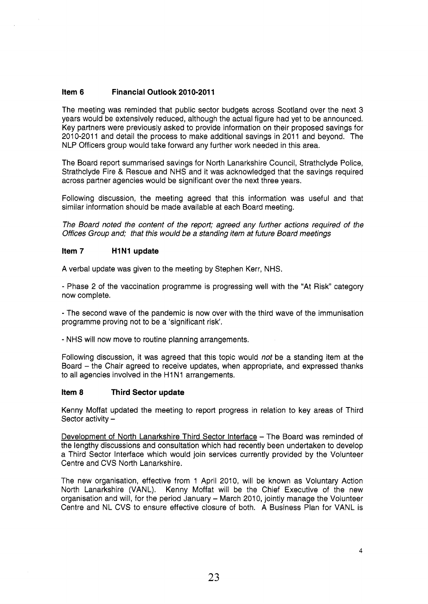# **Item 6 Financial Outlook 2010-201 1**

The meeting was reminded that public sector budgets across Scotland over the next 3 years would be extensively reduced, although the actual figure had yet to be announced. Key partners were previously asked to provide information on their proposed savings for 2010-2011 and detail the process to make additional savings in 2011 and beyond. The NLP Officers group would take forward any further work needed in this area.

The Board report summarised savings for North Lanarkshire Council, Strathclyde Police, Strathclyde Fire & Rescue and NHS and it was acknowledged that the savings required across partner agencies would be significant over the next three years.

Following discussion, the meeting agreed that this information was useful and that similar information should be made available at each Board meeting.

*The Board noted the content of the report; agreed any further actions required of the Offices Group and; that this would be a standing item at future Board meetings* 

### **Item 7 H1N1 update**

A verbal update was given to the meeting by Stephen Kerr, NHS.

- Phase 2 of the vaccination programme is progressing well with the "At Risk" category now complete.

- The second wave of the pandemic is now over with the third wave of the immunisation programme proving not to be a 'significant risk.

- NHS will now move to routine planning arrangements.

Following discussion, it was agreed that this topic would *not* be a standing item at the Board - the Chair agreed to receive updates, when appropriate, and expressed thanks to all agencies involved in the H1N1 arrangements.

### **Item 8 Third Sector update**

Kenny Moffat updated the meeting to report progress in relation to key areas of Third Sector activity  $-$ 

Development of North Lanarkshire Third Sector Interface - The Board was reminded of the lengthy discussions and consultation which had recently been undertaken to develop a Third Sector Interface which would join services currently provided by the Volunteer Centre and CVS North Lanarkshire.

The new organisation, effective from 1 April 2010, will be known as Voluntary Action North Lanarkshire (VANL). Kenny Moffat will be the Chief Executive of the new organisation and will, for the period January - March 2010, jointly manage the Volunteer Centre and NL CVS to ensure effective closure of both. A Business Plan for VANL is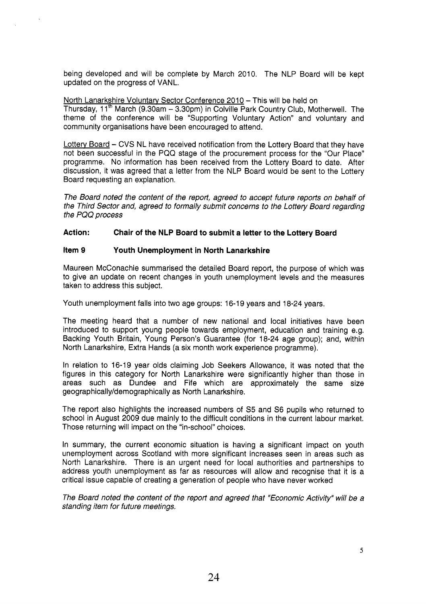being developed and will be complete by March 2010. The NLP Board will be kept updated on the progress of VANL.

North Lanarkshire Voluntary Sector Conference 2010 - This will be held on

Thursday, 11<sup>th</sup> March (9.30am  $-$  3.30pm) in Colville Park Country Club, Motherwell. The theme of the conference will be "Supporting Voluntary Action" and voluntary and community organisations have been encouraged to attend.

Lottery Board - CVS NL have received notification from the Lottery Board that they have not been successful in the PQQ stage of the procurement process for the "Our Place" programme. No information has been received from the Lottery Board to date. After discussion, it was agreed that a letter from the NLP Board would be sent to the Lottery Board requesting an explanation.

*The Board noted the content of the report, agreed to accept future reports on behalf of the Third Sector and, agreed to formally submit concerns to the Lottery Board regarding the PQQ process* 

# **Action: Chair of the NLP Board to submit a letter to the Lottery Board**

# **Item 9 Youth Unemployment in North Lanarkshire**

Maureen McConachie summarised the detailed Board report, the purpose of which was to give an update on recent changes in youth unemployment levels and the measures taken to address this subject.

Youth unemployment falls into two age groups: 16-19 years and 18-24 years.

The meeting heard that a number of new national and local initiatives have been introduced to support young people towards employment, education and training e.g. Backing Youth Britain, Young Person's Guarantee (for 18-24 age group); and, within North Lanarkshire, Extra Hands (a six month work experience programme).

In relation to 16-19 year olds claiming Job Seekers Allowance, it was noted that the figures in this category for North Lanarkshire were significantly higher than those in areas such as Dundee and Fife which are approximately the same size geographically/demographically as North Lanarkshire.

The report also highlights the increased numbers of S5 and S6 pupils who returned to school in August 2009 due mainly to the difficult conditions in the current labour market. Those returning will impact on the "in-school" choices.

In summary, the current economic situation is having a significant impact on youth unemployment across Scotland with more significant increases seen in areas such as North Lanarkshire. There is an urgent need for local authorities and partnerships to address youth unemployment as far as resources will allow and recognise that it is a critical issue capable of creating a generation of people who have never worked

*The Board noted the content of the report and agreed that "Economic Activity" will be a standing item for future meetings.*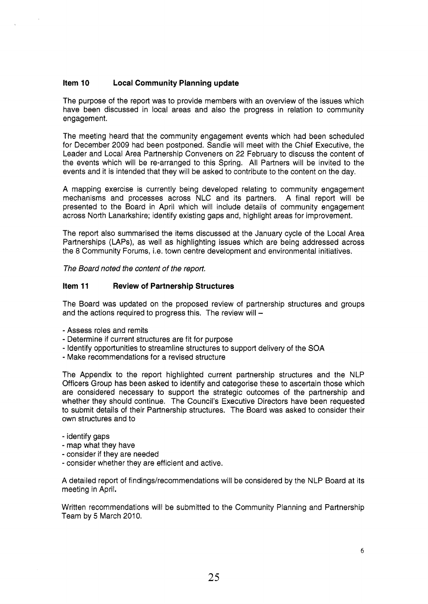### **Item 10 Local Community Planning update**

The purpose of the report was to provide members with an overview of the issues which have been discussed in local areas and also the progress in relation to community engagement.

The meeting heard that the community engagement events which had been scheduled for December 2009 had been postponed. Sandie will meet with the Chief Executive, the Leader and Local Area Partnership Conveners on 22 February to discuss the content of the events which will be re-arranged to this Spring. All Partners will be invited to the events and it is intended that they will be asked to contribute to the content on the day.

A mapping exercise is currently being developed relating to community engagement mechanisms and processes across NLC and its partners. A final report will be presented to the Board in April which will include details of community engagement across North Lanarkshire; identify existing gaps and, highlight areas for improvement.

The report also summarised the items discussed at the January cycle of the Local Area Partnerships (LAPS), as well as highlighting issues which are being addressed across the 8 Community Forums, i.e. town centre development and environmental initiatives.

*The Board noted the content of the report.* 

# **Item 11 Review of Partnership Structures**

The Board was updated on the proposed review of partnership structures and groups and the actions required to progress this. The review will  $-$ 

- Assess roles and remits
- Determine if current structures are fit for purpose
- Identify opportunities to streamline structures to support delivery of the SOA
- Make recommendations for a revised structure

The Appendix to the report highlighted current partnership structures and the NLP Officers Group has been asked to identify and categorise these to ascertain those which are considered necessary to support the strategic outcomes of the partnership and whether they should continue. The Council's Executive Directors have been requested to submit details of their Partnership structures. The Board was asked to consider their own structures and to

- identify gaps
- map what they have
- consider if they are needed
- consider whether they are efficient and active.

A detailed report of findings/recommendations will be considered by the NLP Board at its meeting in April.

Written recommendations will be submitted to the Community Planning and Partnership Team by 5 March 2010.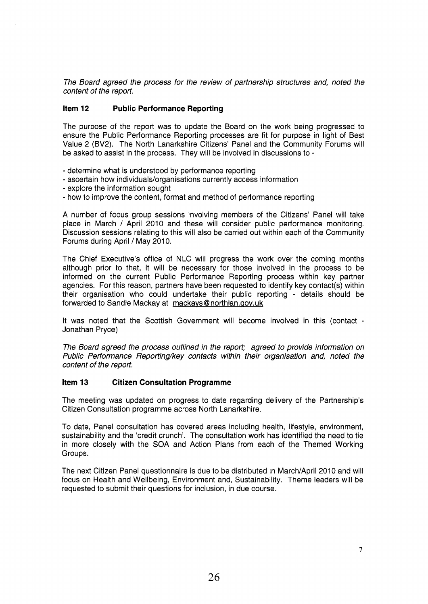*The Board agreed the process for the review of partnership structures and, noted the content of the report.* 

# **Item 12 Public Performance Reporting**

The purpose of the report was to update the Board on the work being progressed to ensure the Public Performance Reporting processes are fit for purpose in light of Best Value 2 (BV2). The North Lanarkshire Citizens' Panel and the Community Forums will be asked to assist in the process. They will be involved in discussions to -

- determine what is understood by performance reporting
- ascertain how individuals/organisations currently access information
- explore the information sought
- how to improve the content, format and method of performance reporting

A number of focus group sessions involving members of the Citizens' Panel will take place in March / April 2010 and these will consider public performance monitoring. Discussion sessions relating to this will also be carried out within each of the Community Forums during April / May 2010.

The Chief Executive's office of NLC will progress the work over the coming months although prior to that, it will be necessary for those involved in the process to be informed on the current Public Performance Reporting process within key partner agencies. For this reason, partners have been requested to identify key contact(s) within their organisation who could undertake their public reporting - details should be forwarded to Sandie Mackay at mackavs[@ northlan.aov.uk](http://northlan.aov.uk) 

It was noted that the Scottish Government will become involved in this (contact - Jonathan Pryce)

*The Board agreed the process outlined in the report; agreed to provide information on Public Performance Reporting/key contacts within their organisation and, noted the content of the report.* 

### **Item 13 Citizen Consultation Programme**

The meeting was updated on progress to date regarding delivery of the Partnership's Citizen Consultation programme across North Lanarkshire.

To date, Panel consultation has covered areas including health, lifestyle, environment, sustainability and the 'credit crunch'. The consultation work has identified the need to tie in more closely with the SOA and Action Plans from each of the Themed Working Groups.

The next Citizen Panel questionnaire is due to be distributed in March/April 2010 and will focus on Health and Wellbeing, Environment and, Sustainability. Theme leaders will be requested to submit their questions for inclusion, in due course.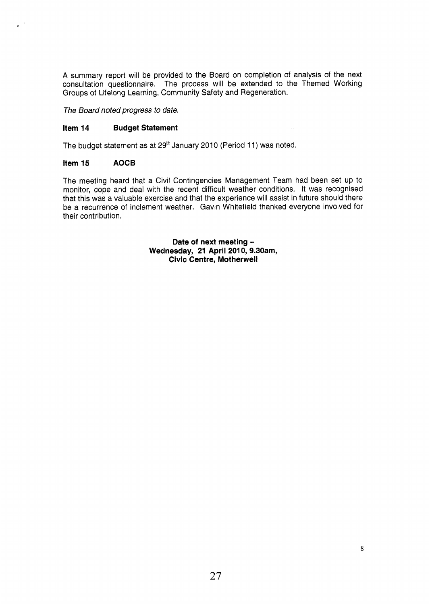**A** summary report will be provided to the Board on completion of analysis of the next consultation questionnaire. The process will be extended to the Themed Working Groups of Lifelong Learning, Community Safety and Regeneration.

*The Board noted progress to date.* 

### **Item 14 Budget Statement**

The budget statement as at 29<sup>th</sup> January 2010 (Period 11) was noted.

### **Item 15 AOCB**

 $\mathcal{L}^{(0,1)}$ 

The meeting heard that a Civil Contingencies Management Team had been set up to monitor, cope and deal with the recent difficult weather conditions. It was recognised that this was a valuable exercise and that the experience will assist in future should there be a recurrence of inclement weather. Gavin Whitefield thanked everyone involved for their contribution.

> **Date of next meeting** - Wednesday, 21 April 2010, 9.30am, **Civic Centre, Motherwell**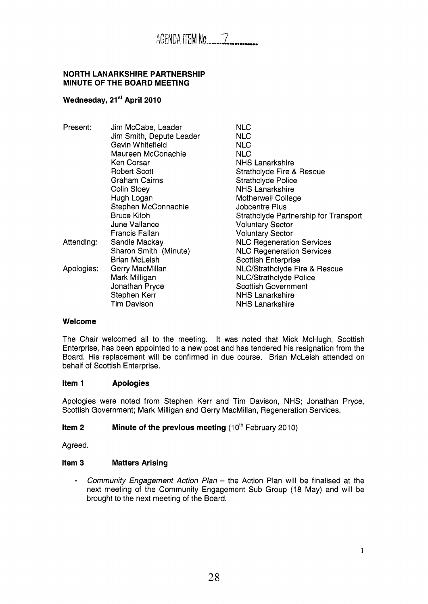## **NORTH LANARKSHIRE PARTNERSHIP MINUTE OF THE BOARD MEETING**

# Wednesday, 21<sup>st</sup> April 2010

| Present:   | Jim McCabe, Leader       | <b>NLC</b>                               |
|------------|--------------------------|------------------------------------------|
|            | Jim Smith, Depute Leader | <b>NLC</b>                               |
|            | Gavin Whitefield         | <b>NLC</b>                               |
|            | Maureen McConachie       | <b>NLC</b>                               |
|            | Ken Corsar               | <b>NHS Lanarkshire</b>                   |
|            | <b>Robert Scott</b>      | Strathclyde Fire & Rescue                |
|            | Graham Cairns            | <b>Strathclyde Police</b>                |
|            | Colin Sloey              | <b>NHS Lanarkshire</b>                   |
|            | Hugh Logan               | Motherwell College                       |
|            | Stephen McConnachie      | Jobcentre Plus                           |
|            | <b>Bruce Kiloh</b>       | Strathclyde Partnership for Transport    |
|            | June Vallance            | <b>Voluntary Sector</b>                  |
|            | Francis Fallan           | <b>Voluntary Sector</b>                  |
| Attending: | Sandie Mackay            | <b>NLC Regeneration Services</b>         |
|            | Sharon Smith (Minute)    | <b>NLC Regeneration Services</b>         |
|            | <b>Brian McLeish</b>     | <b>Scottish Enterprise</b>               |
| Apologies: | Gerry MacMillan          | <b>NLC/Strathclyde Fire &amp; Rescue</b> |
|            | Mark Milligan            | NLC/Strathclyde Police                   |
|            | Jonathan Pryce           | <b>Scottish Government</b>               |
|            | Stephen Kerr             | <b>NHS Lanarkshire</b>                   |
|            | <b>Tim Davison</b>       | <b>NHS Lanarkshire</b>                   |
|            |                          |                                          |

### **Welcome**

The Chair welcomed all to the meeting. It was noted that Mick McHugh, Scottish Enterprise, has been appointed to a new post and has tendered his resignation from the Board. His replacement will be confirmed in due course. Brian McLeish attended on behalf of Scottish Enterprise.

### **Item 1 Apologies**

Apologies were noted from Stephen Kerr and Tim Davison, NHS; Jonathan Pryce, Scottish Government; Mark Milligan and Gerry MacMillan, Regeneration Services.

# **Item 2** Minute of the previous meeting (10<sup>th</sup> February 2010)

Agreed.

### **Item 3 Matters Arising**

- *Community Engagement Action Plan* - the Action Plan will be finalised at the next meeting of the Community Engagement Sub Group (18 May) and will be brought to the next meeting of the Board.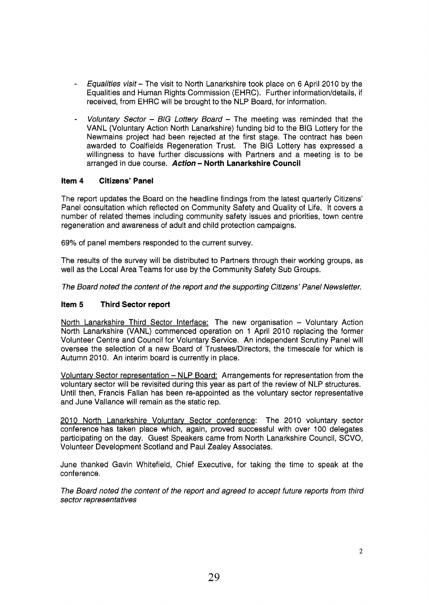- *€qualities visit-* The visit to North Lanarkshire took place on 6 April 2010 by the Equalities and Human Rights Commission (EHRC). Further information/details, if received, from EHRC will be brought to the NLP Board, for information.
- *Voluntary Sector BIG Lottery Board*  The meeting was reminded that the VANL (Voluntary Action North Lanarkshire) funding bid to the BIG Lottery for the Newmains project had been rejected at the first stage. The contract has been awarded to Coalfields Regeneration Trust. The BIG Lottery has expressed a willingness to have further discussions with Partners and a meeting is to be arranged in due course. *Action* - **North Lanarkshire Council**

# **Item 4 Citizens' Panel**

The report updates the Board on the headline findings from the latest quarterly Citizens' Panel consultation which reflected on Community Safety and Quality of Life. It covers a number of related themes including community safety issues and priorities, town centre regeneration and awareness of adult and child protection campaigns.

69% of panel members responded to the current survey.

The results of the survey will be distributed to Partners through their working groups, as well as the Local Area Teams for use by the Community Safety Sub Groups.

*The Board noted the content of the report and the supporting Citizens' Panel Newsletter.* 

### **Item 5 Third Sector report**

North Lanarkshire Third Sector Interface: The new organisation - Voluntary Action North Lanarkshire (VANL) commenced operation on 1 April 2010 replacing the former Volunteer Centre and Council for Voluntary Service. An independent Scrutiny Panel will oversee the selection of a new Board of Trustees/Directors, the timescale for which is Autumn 2010. An interim board is currently in place.

Voluntary Sector representation - NLP Board: Arrangements for representation from the voluntary sector will be revisited during this year as part of the review of NLP structures. Until then, Francis Fallan has been re-appointed as the voluntary sector representative and June Vallance will remain as the static rep.

2010 North Lanarkshire Voluntary Sector conference: The 2010 voluntary sector conference has taken place which, again, proved successful with over 100 delegates participating on the day. Guest Speakers came from North Lanarkshire Council, SCVO, Volunteer Development Scotland and Paul Zealey Associates.

June thanked Gavin Whitefield, Chief Executive, for taking the time to speak at the conference.

*The Board noted the content of the report and agreed to accept future reports from third sector representatives*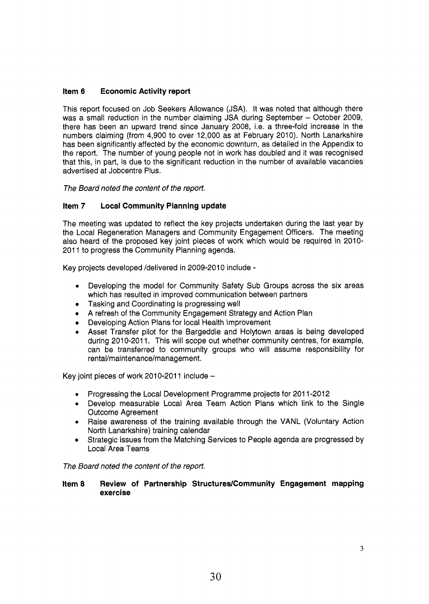# **Item 6 Economic Activity report**

This report focused on Job Seekers Allowance (JSA). It was noted that although there was a small reduction in the number claiming JSA during September - October 2009, there has been an upward trend since January 2008, i.e. a three-fold increase in the numbers claiming (from 4,900 to over 12,000 as at February 2010). North Lanarkshire has been significantly affected by the economic downturn, as detailed in the Appendix to the report. The number of young people not in work has doubled and it was recognised that this, in part, is due to the significant reduction in the number of available vacancies advertised at Jobcentre Plus.

*The Board noted the content of the report.* 

# **Item 7 Local Community Planning update**

The meeting was updated to reflect the key projects undertaken during the last year by the Local Regeneration Managers and Community Engagement Officers. The meeting also heard of the proposed key joint pieces of work which would be required in 2010- 2011 to progress the Community Planning agenda.

Key projects developed /delivered in 2009-2010 include -

- **<sup>e</sup>**Developing the model for Community Safety Sub Groups across the six areas which has resulted in improved communication between partners
- Tasking and Coordinating is progressing well
- A refresh of the Community Engagement Strategy and Action Plan
- Developing Action Plans for local Health Improvement
- **e** Asset Transfer pilot for the Bargeddie and Holytown areas is being developed during 2010-2011. This will scope out whether community centres, for example, can be transferred to community groups who will assume responsibility for rental/maintenance/management.

Key joint pieces of work 2010-2011 include  $-$ 

- **e**  Progressing the Local Development Programme projects for 201 1-2012
- **e**  Develop measurable Local Area Team Action Plans which link to the Single Outcome Agreement
- **e**  Raise awareness of the training available through the VANL (Voluntary Action North Lanarkshire) training calendar
- Strategic issues from the Matching Services to People agenda are progressed by Local Area Teams

*The Board noted the content of the report.* 

### Item 8 Review of Partnership Structures/Community Engagement mapping **exercise**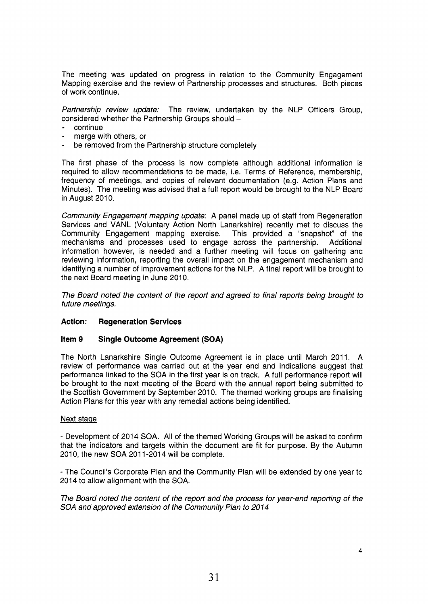The meeting was updated on progress in relation to the Community Engagement Mapping exercise and the review of Partnership processes and structures. Both pieces of work continue.

*Partnership review update:* The review, undertaken by the NLP Officers Group, considered whether the Partnership Groups should -

- continue
- merge with others, or
- be removed from the Partnership structure completely

The first phase of the process is now complete although additional information is required to allow recommendations to be made, i.e. Terms of Reference, membership, frequency of meetings, and copies of relevant documentation (e.g. Action Plans and Minutes). The meeting was advised that a full report would be brought to the NLP Board in August 2010.

*Community Engagement mapping update:* A panel made up of staff from Regeneration Services and VANL (Voluntary Action North Lanarkshire) recently met to discuss the Community Engagement mapping exercise. This provided a "snapshot" of the mechanisms and processes used to engage across the partnership. Additional information however, is needed and a further meeting will focus on gathering and reviewing information, reporting the overall impact on the engagement mechanism and identifying a number of improvement actions for the NLP. A final report will be brought to the next Board meeting in June 2010.

*The Board noted the content of the report and agreed to final reports being brought to future meetings.* 

### **Action: Regeneration Services**

#### **Item 9 Single Outcome Agreement (SOA)**

The North Lanarkshire Single Outcome Agreement is in place until March 2011. A review of performance was carried out at the year end and indications suggest that performance linked to the SOA in the first year is on track. A full performance report will be brought to the next meeting of the Board with the annual report being submitted to the Scottish Government by September 2010. The themed working groups are finalising Action Plans for this year with any remedial actions being identified.

#### Next stage

- Development of 2014 SOA. All of the themed Working Groups will be asked to confirm that the indicators and targets within the document are fit for purpose. By the Autumn 2010, the new SOA 2011-2014 will be complete.

- The Council's Corporate Plan and the Community Plan will be extended by one year to 2014 to allow alignment with the SOA.

*The Board noted the content of the report and the process for year-end reporting of the*  SOA and approved extension of the Community Plan to 2014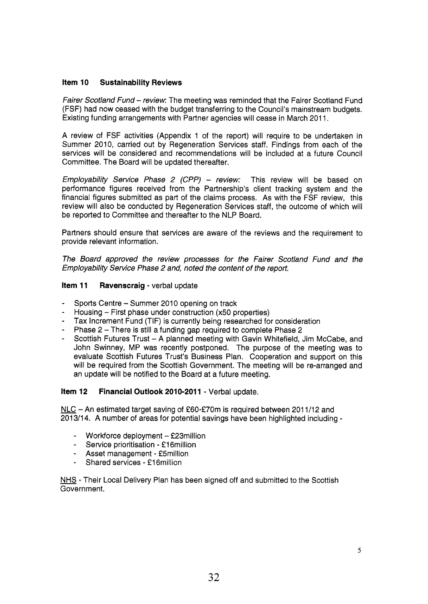# **Item 10 Sustainability Reviews**

*Fairer Scotland Fund* - *review:* The meeting was reminded that the Fairer Scotland Fund (FSF) had now ceased with the budget transferring to the Council's mainstream budgets. Existing funding arrangements with Partner agencies will cease in March 2011.

A review of FSF activities (Appendix 1 of the report) will require to be undertaken in Summer 2010, carried out by Regeneration Services staff. Findings from each of the services will be considered and recommendations will be included at a future Council Committee. The Board will be updated thereafter.

*Employability Service Phase 2 (CPP) - review:* This review will be based on performance figures received from the Partnership's client tracking system and the financial figures submitted as part of the claims process. As with the FSF review, this review will also be conducted by Regeneration Services staff, the outcome of which will be reported to Committee and thereafter to the NLP Board.

Partners should ensure that services are aware of the reviews and the requirement to provide relevant information.

*The Board approved the review processes for the Fairer Scotland Fund and the Employability Service Phase 2 and, noted the content of the report,* 

# **Item 11 Ravenscraig - verbal update**

- Sports Centre - Summer 2010 opening on track
- Housing - First phase under construction (x50 properties)
- Tax Increment Fund (TIF) is currently being researched for consideration
- Phase 2 - There is still a funding gap required to complete Phase 2
- Scottish Futures Trust - A planned meeting with Gavin Whitefield, Jim McCabe, and John Swinney, MP was recently postponed. The purpose of the meeting was to evaluate Scottish Futures Trust's Business Plan. Cooperation and support on this will be required from the Scottish Government. The meeting will be re-arranged and an update will be notified to the Board at a future meeting.

### **Item 12 Financial Outlook 2010-2011 - Verbal update.**

NLC - An estimated target saving of £60-£70m is required between 2011/12 and 201 3/14. A number of areas for potential savings have been highlighted including -

- Workforce deployment £23million
- Service prioritisation **f** 1 6million
- Asset management £5million
- Shared services £16 million

NHS - Their Local Delivery Plan has been signed off and submitted to the Scottish Government.